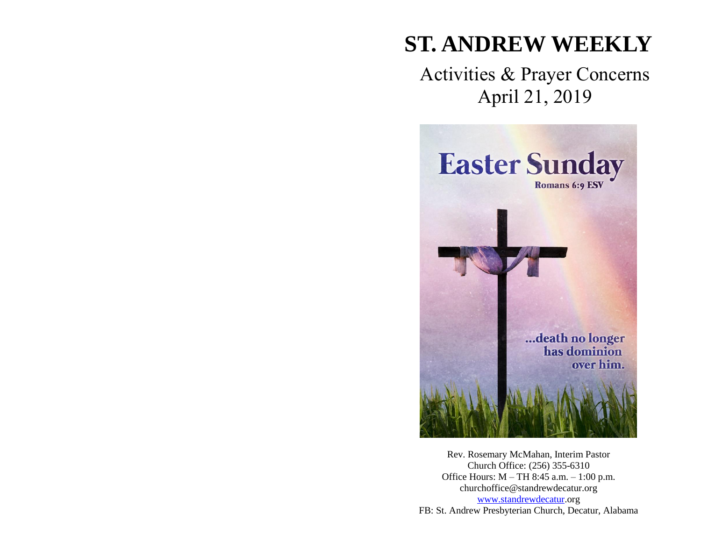# **ST. ANDREW WEEKLY**

## Activities & Prayer Concerns April 21, 2019



Rev. Rosemary McMahan, Interim Pastor Church Office: (256) 355-6310 Office Hours: M – TH 8:45 a.m. – 1:00 p.m. churchoffice@standrewdecatur.org [www.standrewdecatur.](http://www.standrewdecatur/)org FB: St. Andrew Presbyterian Church, Decatur, Alabama